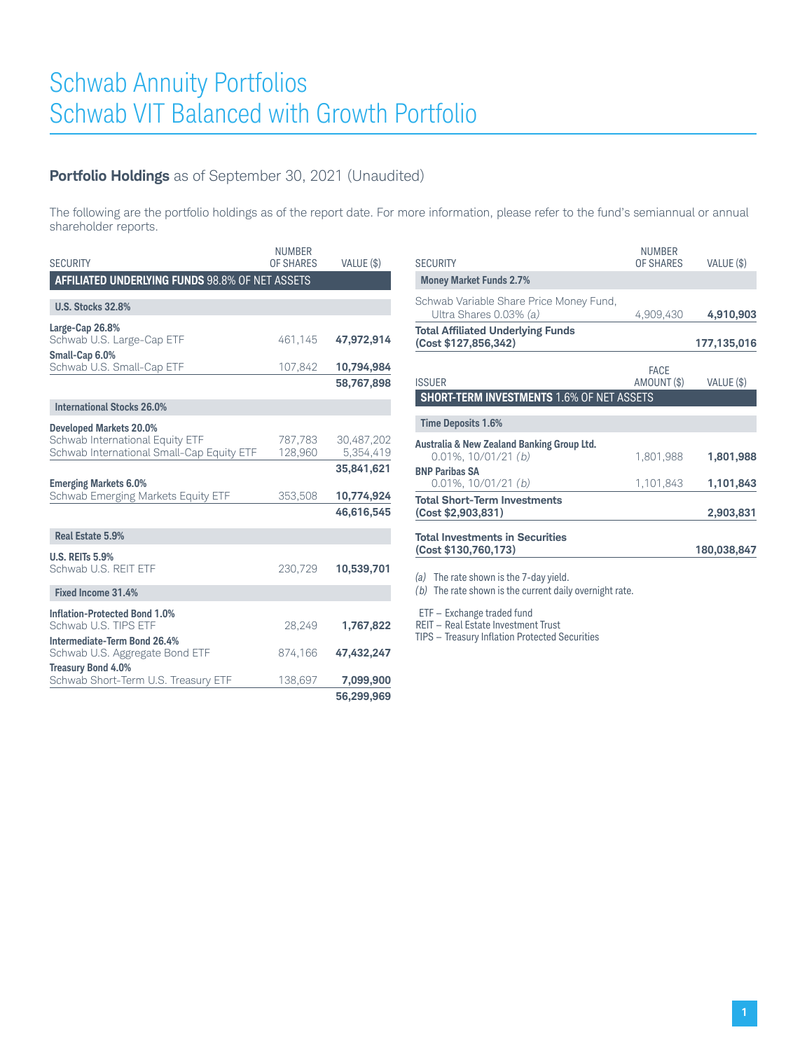# **Portfolio Holdings** as of September 30, 2021 (Unaudited)

The following are the portfolio holdings as of the report date. For more information, please refer to the fund's semiannual or annual shareholder reports.

| <b>SECURITY</b>                                                              | <b>NUMBER</b><br>OF SHARES | VALUE (\$)              |
|------------------------------------------------------------------------------|----------------------------|-------------------------|
| <b>AFFILIATED UNDERLYING FUNDS 98.8% OF NET ASSETS</b>                       |                            |                         |
| <b>U.S. Stocks 32.8%</b>                                                     |                            |                         |
| Large-Cap 26.8%                                                              |                            |                         |
| Schwab U.S. Large-Cap ETF                                                    | 461.145                    | 47,972,914              |
| Small-Cap 6.0%<br>Schwab U.S. Small-Cap ETF                                  | 107,842                    | 10,794,984              |
|                                                                              |                            | 58,767,898              |
| <b>International Stocks 26.0%</b>                                            |                            |                         |
| <b>Developed Markets 20.0%</b>                                               |                            |                         |
| Schwab International Equity ETF<br>Schwab International Small-Cap Equity ETF | 787,783<br>128,960         | 30,487,202<br>5,354,419 |
|                                                                              |                            | 35,841,621              |
| <b>Emerging Markets 6.0%</b><br>Schwab Emerging Markets Equity ETF           | 353,508                    | 10,774,924              |
|                                                                              |                            | 46,616,545              |
| Real Estate 5.9%                                                             |                            |                         |
| <b>U.S. REITs 5.9%</b>                                                       |                            |                         |
| Schwab U.S. REIT ETF                                                         | 230,729                    | 10,539,701              |
| Fixed Income 31.4%                                                           |                            |                         |
| <b>Inflation-Protected Bond 1.0%</b>                                         |                            |                         |
| Schwab U.S. TIPS ETF                                                         | 28,249                     | 1,767,822               |
| Intermediate-Term Bond 26.4%<br>Schwab U.S. Aggregate Bond ETF               | 874,166                    | 47,432,247              |
| <b>Treasury Bond 4.0%</b>                                                    |                            |                         |
| Schwab Short-Term U.S. Treasury ETF                                          | 138,697                    | 7,099,900               |
|                                                                              |                            | 56,299,969              |

| <b>SECURITY</b>                                                         | NUMBER<br>OF SHARES        | VALUE (\$)  |
|-------------------------------------------------------------------------|----------------------------|-------------|
| <b>Money Market Funds 2.7%</b>                                          |                            |             |
| Schwab Variable Share Price Money Fund,<br>Ultra Shares 0.03% (a)       | 4,909,430                  | 4,910,903   |
| <b>Total Affiliated Underlying Funds</b><br>(Cost \$127,856,342)        |                            | 177,135,016 |
| <b>ISSUER</b>                                                           | <b>FACE</b><br>AMOUNT (\$) | VALUE (\$)  |
| <b>SHORT-TERM INVESTMENTS 1.6% OF NET ASSETS</b>                        |                            |             |
| <b>Time Deposits 1.6%</b>                                               |                            |             |
| Australia & New Zealand Banking Group Ltd.<br>$0.01\%$ , $10/01/21$ (b) | 1,801,988                  | 1,801,988   |
| <b>BNP Paribas SA</b><br>$0.01\%$ , $10/01/21$ (b)                      | 1,101,843                  | 1,101,843   |
| <b>Total Short-Term Investments</b><br>(Cost \$2,903,831)               |                            | 2,903,831   |
| <b>Total Investments in Securities</b><br>(Cost \$130,760,173)          |                            | 180,038,847 |

*(a)* The rate shown is the 7-day yield.

*(b)* The rate shown is the current daily overnight rate.

ETF — Exchange traded fund

REIT — Real Estate Investment Trust

TIPS — Treasury Inflation Protected Securities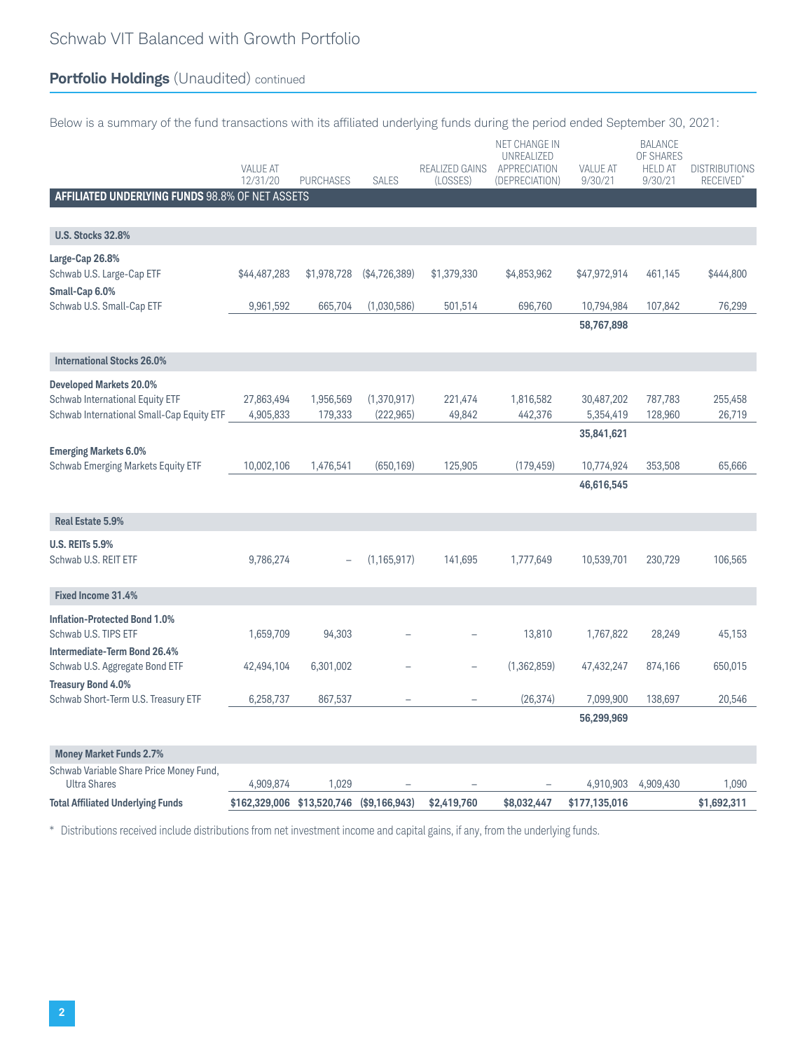# **Portfolio Holdings** (Unaudited) continued

|  | Below is a summary of the fund transactions with its affiliated underlying funds during the period ended September 30, 2021: |  |  |  |  |  |  |
|--|------------------------------------------------------------------------------------------------------------------------------|--|--|--|--|--|--|
|--|------------------------------------------------------------------------------------------------------------------------------|--|--|--|--|--|--|

|                                                                                                                | <b>VALUE AT</b><br>12/31/20 | <b>PURCHASES</b>     | <b>SALES</b>              | REALIZED GAINS<br>(LOSSES) | NET CHANGE IN<br>UNREALIZED<br>APPRECIATION<br>(DEPRECIATION) | <b>VALUE AT</b><br>9/30/21 | <b>BALANCE</b><br>OF SHARES<br><b>HELD AT</b><br>9/30/21 | <b>DISTRIBUTIONS</b><br><b>RECEIVED</b> |
|----------------------------------------------------------------------------------------------------------------|-----------------------------|----------------------|---------------------------|----------------------------|---------------------------------------------------------------|----------------------------|----------------------------------------------------------|-----------------------------------------|
| AFFILIATED UNDERLYING FUNDS 98.8% OF NET ASSETS                                                                |                             |                      |                           |                            |                                                               |                            |                                                          |                                         |
| <b>U.S. Stocks 32.8%</b>                                                                                       |                             |                      |                           |                            |                                                               |                            |                                                          |                                         |
| Large-Cap 26.8%<br>Schwab U.S. Large-Cap ETF<br>Small-Cap 6.0%                                                 | \$44,487,283                | \$1,978,728          | (\$4,726,389)             | \$1,379,330                | \$4,853,962                                                   | \$47,972,914               | 461,145                                                  | \$444,800                               |
| Schwab U.S. Small-Cap ETF                                                                                      | 9,961,592                   | 665,704              | (1,030,586)               | 501,514                    | 696,760                                                       | 10,794,984<br>58,767,898   | 107,842                                                  | 76,299                                  |
|                                                                                                                |                             |                      |                           |                            |                                                               |                            |                                                          |                                         |
| <b>International Stocks 26.0%</b>                                                                              |                             |                      |                           |                            |                                                               |                            |                                                          |                                         |
| <b>Developed Markets 20.0%</b><br>Schwab International Equity ETF<br>Schwab International Small-Cap Equity ETF | 27,863,494<br>4,905,833     | 1,956,569<br>179,333 | (1,370,917)<br>(222, 965) | 221,474<br>49,842          | 1,816,582<br>442,376                                          | 30,487,202<br>5,354,419    | 787,783<br>128,960                                       | 255,458<br>26,719                       |
|                                                                                                                |                             |                      |                           |                            |                                                               | 35,841,621                 |                                                          |                                         |
| <b>Emerging Markets 6.0%</b><br><b>Schwab Emerging Markets Equity ETF</b>                                      | 10,002,106                  | 1,476,541            | (650, 169)                | 125,905                    | (179, 459)                                                    | 10,774,924<br>46,616,545   | 353,508                                                  | 65,666                                  |
|                                                                                                                |                             |                      |                           |                            |                                                               |                            |                                                          |                                         |
| Real Estate 5.9%                                                                                               |                             |                      |                           |                            |                                                               |                            |                                                          |                                         |
| <b>U.S. REITs 5.9%</b><br>Schwab U.S. REIT ETF                                                                 | 9,786,274                   |                      | (1, 165, 917)             | 141,695                    | 1,777,649                                                     | 10,539,701                 | 230,729                                                  | 106,565                                 |
| Fixed Income 31.4%                                                                                             |                             |                      |                           |                            |                                                               |                            |                                                          |                                         |
| <b>Inflation-Protected Bond 1.0%</b><br>Schwab U.S. TIPS ETF<br>Intermediate-Term Bond 26.4%                   | 1,659,709                   | 94,303               |                           |                            | 13,810                                                        | 1,767,822                  | 28,249                                                   | 45,153                                  |
| Schwab U.S. Aggregate Bond ETF                                                                                 | 42,494,104                  | 6,301,002            |                           |                            | (1,362,859)                                                   | 47,432,247                 | 874,166                                                  | 650,015                                 |
| <b>Treasury Bond 4.0%</b><br>Schwab Short-Term U.S. Treasury ETF                                               | 6,258,737                   | 867,537              |                           |                            | (26, 374)                                                     | 7,099,900                  | 138,697                                                  | 20,546                                  |
|                                                                                                                |                             |                      |                           |                            |                                                               | 56,299,969                 |                                                          |                                         |
| <b>Money Market Funds 2.7%</b>                                                                                 |                             |                      |                           |                            |                                                               |                            |                                                          |                                         |
| Schwab Variable Share Price Money Fund,<br><b>Ultra Shares</b>                                                 | 4,909,874                   | 1,029                |                           |                            |                                                               | 4,910,903                  | 4,909,430                                                | 1,090                                   |
| <b>Total Affiliated Underlying Funds</b>                                                                       | \$162,329,006 \$13,520,746  |                      | (\$9,166,943)             | \$2,419,760                | \$8,032,447                                                   | \$177,135,016              |                                                          | \$1,692,311                             |

\* Distributions received include distributions from net investment income and capital gains, if any, from the underlying funds.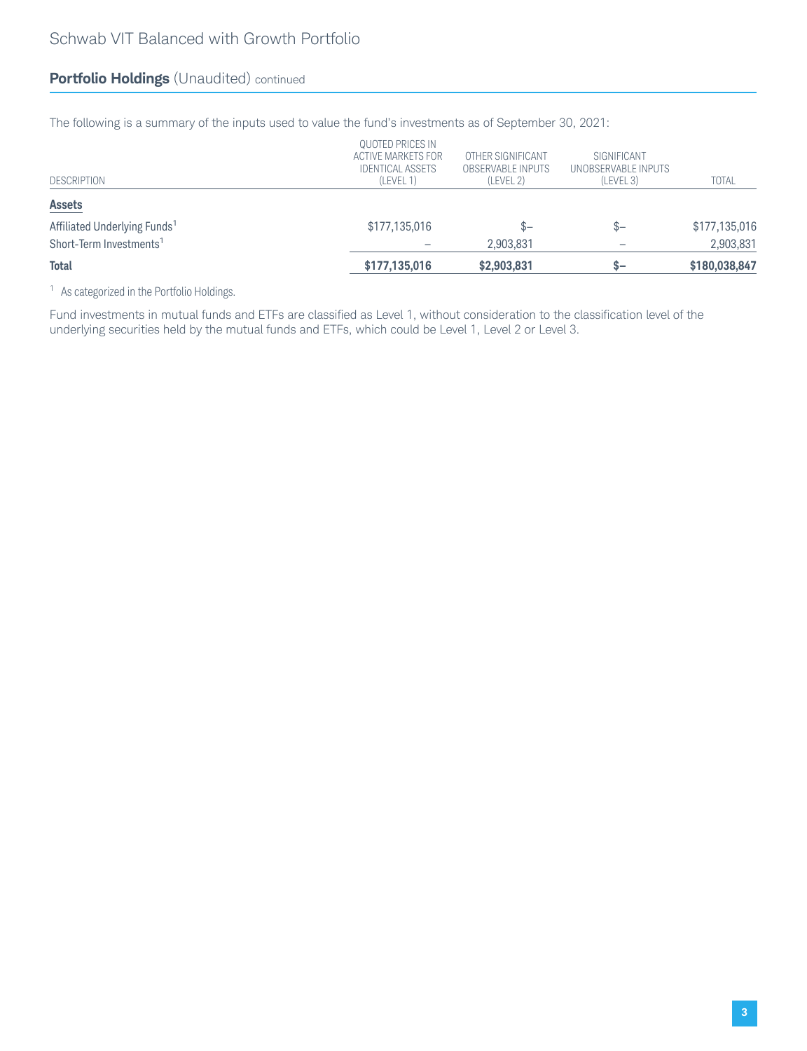### **Portfolio Holdings** (Unaudited) continued

The following is a summary of the inputs used to value the fund's investments as of September 30, 2021:

| (LEVEL 1)     | (LEVEL 2)                                                         | (LEVEL 3)                                     | <b>TOTAL</b>                       |
|---------------|-------------------------------------------------------------------|-----------------------------------------------|------------------------------------|
|               |                                                                   |                                               |                                    |
| \$177,135,016 | $S-$                                                              | $S-$                                          | \$177,135,016                      |
|               | 2,903,831                                                         |                                               | 2,903,831                          |
| \$177,135,016 | \$2,903,831                                                       | \$—                                           | \$180,038,847                      |
|               | QUOTED PRICES IN<br>ACTIVE MARKETS FOR<br><b>IDENTICAL ASSETS</b> | OTHER SIGNIFICANT<br><b>OBSERVABLE INPUTS</b> | SIGNIFICANT<br>UNOBSERVABLE INPUTS |

<sup>1</sup> As categorized in the Portfolio Holdings.

Fund investments in mutual funds and ETFs are classified as Level 1, without consideration to the classification level of the underlying securities held by the mutual funds and ETFs, which could be Level 1, Level 2 or Level 3.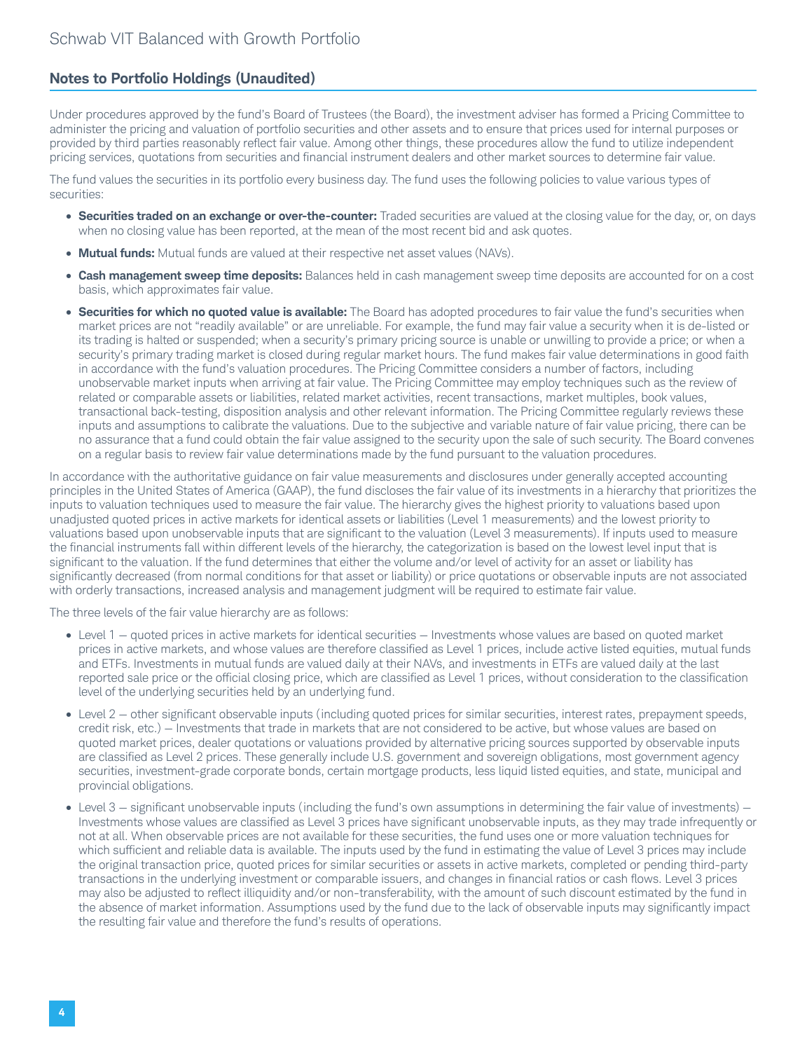#### **Notes to Portfolio Holdings (Unaudited)**

Under procedures approved by the fund's Board of Trustees (the Board), the investment adviser has formed a Pricing Committee to administer the pricing and valuation of portfolio securities and other assets and to ensure that prices used for internal purposes or provided by third parties reasonably reflect fair value. Among other things, these procedures allow the fund to utilize independent pricing services, quotations from securities and financial instrument dealers and other market sources to determine fair value.

The fund values the securities in its portfolio every business day. The fund uses the following policies to value various types of securities:

- **Securities traded on an exchange or over-the-counter:** Traded securities are valued at the closing value for the day, or, on days when no closing value has been reported, at the mean of the most recent bid and ask quotes.
- **Mutual funds:** Mutual funds are valued at their respective net asset values (NAVs).
- **Cash management sweep time deposits:** Balances held in cash management sweep time deposits are accounted for on a cost basis, which approximates fair value.
- **Securities for which no quoted value is available:** The Board has adopted procedures to fair value the fund's securities when market prices are not "readily available" or are unreliable. For example, the fund may fair value a security when it is de-listed or its trading is halted or suspended; when a security's primary pricing source is unable or unwilling to provide a price; or when a security's primary trading market is closed during regular market hours. The fund makes fair value determinations in good faith in accordance with the fund's valuation procedures. The Pricing Committee considers a number of factors, including unobservable market inputs when arriving at fair value. The Pricing Committee may employ techniques such as the review of related or comparable assets or liabilities, related market activities, recent transactions, market multiples, book values, transactional back-testing, disposition analysis and other relevant information. The Pricing Committee regularly reviews these inputs and assumptions to calibrate the valuations. Due to the subjective and variable nature of fair value pricing, there can be no assurance that a fund could obtain the fair value assigned to the security upon the sale of such security. The Board convenes on a regular basis to review fair value determinations made by the fund pursuant to the valuation procedures.

In accordance with the authoritative guidance on fair value measurements and disclosures under generally accepted accounting principles in the United States of America (GAAP), the fund discloses the fair value of its investments in a hierarchy that prioritizes the inputs to valuation techniques used to measure the fair value. The hierarchy gives the highest priority to valuations based upon unadjusted quoted prices in active markets for identical assets or liabilities (Level 1 measurements) and the lowest priority to valuations based upon unobservable inputs that are significant to the valuation (Level 3 measurements). If inputs used to measure the financial instruments fall within different levels of the hierarchy, the categorization is based on the lowest level input that is significant to the valuation. If the fund determines that either the volume and/or level of activity for an asset or liability has significantly decreased (from normal conditions for that asset or liability) or price quotations or observable inputs are not associated with orderly transactions, increased analysis and management judgment will be required to estimate fair value.

The three levels of the fair value hierarchy are as follows:

- Level 1 quoted prices in active markets for identical securities Investments whose values are based on quoted market prices in active markets, and whose values are therefore classified as Level 1 prices, include active listed equities, mutual funds and ETFs. Investments in mutual funds are valued daily at their NAVs, and investments in ETFs are valued daily at the last reported sale price or the official closing price, which are classified as Level 1 prices, without consideration to the classification level of the underlying securities held by an underlying fund.
- Level 2 other significant observable inputs (including quoted prices for similar securities, interest rates, prepayment speeds, credit risk, etc.) — Investments that trade in markets that are not considered to be active, but whose values are based on quoted market prices, dealer quotations or valuations provided by alternative pricing sources supported by observable inputs are classified as Level 2 prices. These generally include U.S. government and sovereign obligations, most government agency securities, investment-grade corporate bonds, certain mortgage products, less liquid listed equities, and state, municipal and provincial obligations.
- Level 3 significant unobservable inputs (including the fund's own assumptions in determining the fair value of investments) Investments whose values are classified as Level 3 prices have significant unobservable inputs, as they may trade infrequently or not at all. When observable prices are not available for these securities, the fund uses one or more valuation techniques for which sufficient and reliable data is available. The inputs used by the fund in estimating the value of Level 3 prices may include the original transaction price, quoted prices for similar securities or assets in active markets, completed or pending third-party transactions in the underlying investment or comparable issuers, and changes in financial ratios or cash flows. Level 3 prices may also be adjusted to reflect illiquidity and/or non-transferability, with the amount of such discount estimated by the fund in the absence of market information. Assumptions used by the fund due to the lack of observable inputs may significantly impact the resulting fair value and therefore the fund's results of operations.